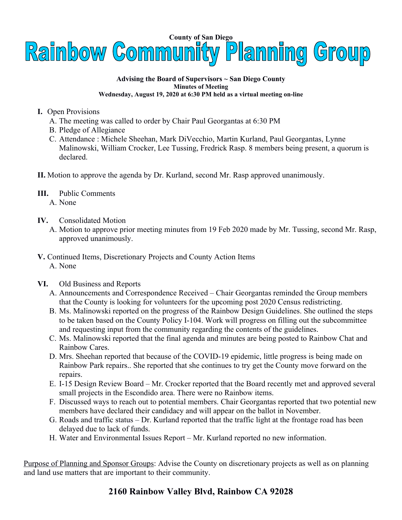

## **Advising the Board of Supervisors ~ San Diego County Minutes of Meeting Wednesday, August 19, 2020 at 6:30 PM held as a virtual meeting on-line**

- **I.** Open Provisions
	- A. The meeting was called to order by Chair Paul Georgantas at 6:30 PM
	- B. Pledge of Allegiance
	- C. Attendance : Michele Sheehan, Mark DiVecchio, Martin Kurland, Paul Georgantas, Lynne Malinowski, William Crocker, Lee Tussing, Fredrick Rasp. 8 members being present, a quorum is declared.
- **II.** Motion to approve the agenda by Dr. Kurland, second Mr. Rasp approved unanimously.
- **III.** Public Comments A. None
- **IV.** Consolidated Motion
	- A. Motion to approve prior meeting minutes from 19 Feb 2020 made by Mr. Tussing, second Mr. Rasp, approved unanimously.
- **V.** Continued Items, Discretionary Projects and County Action Items A. None
- **VI.** Old Business and Reports
	- A. Announcements and Correspondence Received Chair Georgantas reminded the Group members that the County is looking for volunteers for the upcoming post 2020 Census redistricting.
	- B. Ms. Malinowski reported on the progress of the Rainbow Design Guidelines. She outlined the steps to be taken based on the County Policy I-104. Work will progress on filling out the subcommittee and requesting input from the community regarding the contents of the guidelines.
	- C. Ms. Malinowski reported that the final agenda and minutes are being posted to Rainbow Chat and Rainbow Cares.
	- D. Mrs. Sheehan reported that because of the COVID-19 epidemic, little progress is being made on Rainbow Park repairs.. She reported that she continues to try get the County move forward on the repairs.
	- E. I-15 Design Review Board Mr. Crocker reported that the Board recently met and approved several small projects in the Escondido area. There were no Rainbow items.
	- F. Discussed ways to reach out to potential members. Chair Georgantas reported that two potential new members have declared their candidacy and will appear on the ballot in November.
	- G. Roads and traffic status Dr. Kurland reported that the traffic light at the frontage road has been delayed due to lack of funds.
	- H. Water and Environmental Issues Report Mr. Kurland reported no new information.

Purpose of Planning and Sponsor Groups: Advise the County on discretionary projects as well as on planning and land use matters that are important to their community.

## **2160 Rainbow Valley Blvd, Rainbow CA 92028**